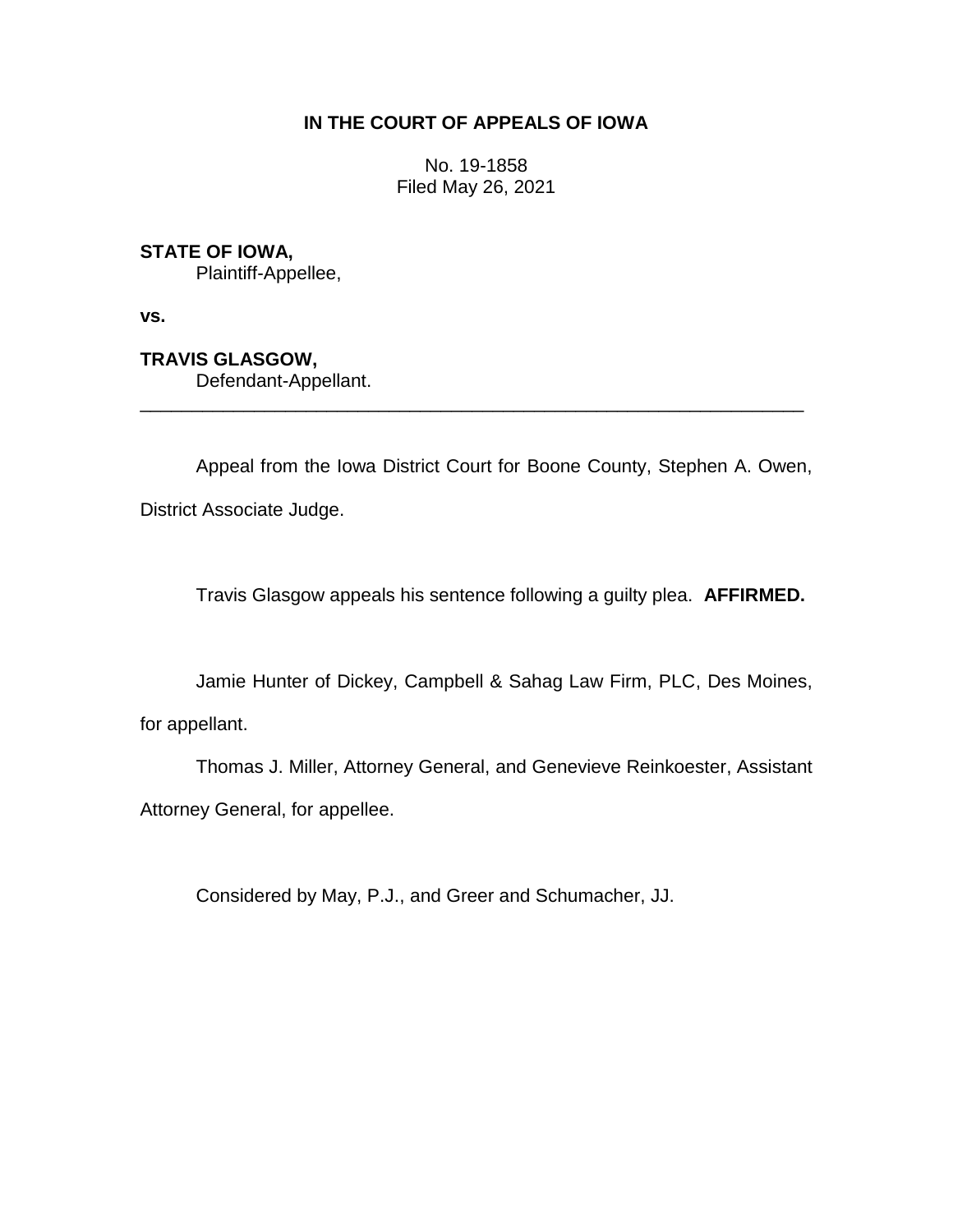# **IN THE COURT OF APPEALS OF IOWA**

No. 19-1858 Filed May 26, 2021

# **STATE OF IOWA,**

Plaintiff-Appellee,

**vs.**

**TRAVIS GLASGOW,**

Defendant-Appellant.

Appeal from the Iowa District Court for Boone County, Stephen A. Owen, District Associate Judge.

\_\_\_\_\_\_\_\_\_\_\_\_\_\_\_\_\_\_\_\_\_\_\_\_\_\_\_\_\_\_\_\_\_\_\_\_\_\_\_\_\_\_\_\_\_\_\_\_\_\_\_\_\_\_\_\_\_\_\_\_\_\_\_\_

Travis Glasgow appeals his sentence following a guilty plea. **AFFIRMED.**

Jamie Hunter of Dickey, Campbell & Sahag Law Firm, PLC, Des Moines,

for appellant.

Thomas J. Miller, Attorney General, and Genevieve Reinkoester, Assistant Attorney General, for appellee.

Considered by May, P.J., and Greer and Schumacher, JJ.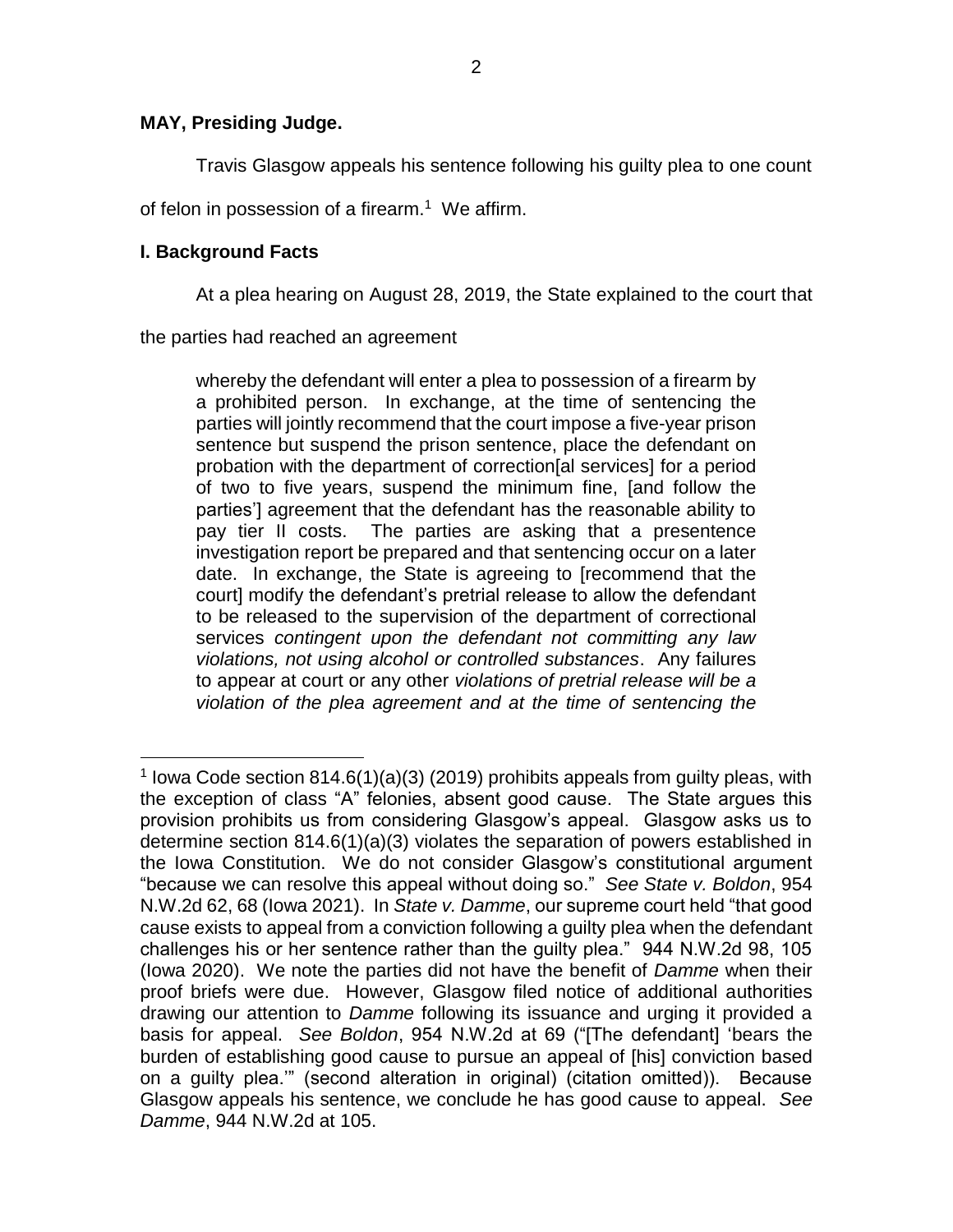Travis Glasgow appeals his sentence following his guilty plea to one count

of felon in possession of a firearm.<sup>1</sup> We affirm.

# **I. Background Facts**

At a plea hearing on August 28, 2019, the State explained to the court that

the parties had reached an agreement

whereby the defendant will enter a plea to possession of a firearm by a prohibited person. In exchange, at the time of sentencing the parties will jointly recommend that the court impose a five-year prison sentence but suspend the prison sentence, place the defendant on probation with the department of correction[al services] for a period of two to five years, suspend the minimum fine, [and follow the parties'] agreement that the defendant has the reasonable ability to pay tier II costs. The parties are asking that a presentence investigation report be prepared and that sentencing occur on a later date. In exchange, the State is agreeing to [recommend that the court] modify the defendant's pretrial release to allow the defendant to be released to the supervision of the department of correctional services *contingent upon the defendant not committing any law violations, not using alcohol or controlled substances*. Any failures to appear at court or any other *violations of pretrial release will be a violation of the plea agreement and at the time of sentencing the* 

 $\overline{a}$ <sup>1</sup> lowa Code section 814.6(1)(a)(3) (2019) prohibits appeals from guilty pleas, with the exception of class "A" felonies, absent good cause. The State argues this provision prohibits us from considering Glasgow's appeal. Glasgow asks us to determine section 814.6(1)(a)(3) violates the separation of powers established in the Iowa Constitution. We do not consider Glasgow's constitutional argument "because we can resolve this appeal without doing so." *See State v. Boldon*, 954 N.W.2d 62, 68 (Iowa 2021). In *State v. Damme*, our supreme court held "that good cause exists to appeal from a conviction following a guilty plea when the defendant challenges his or her sentence rather than the guilty plea." 944 N.W.2d 98, 105 (Iowa 2020). We note the parties did not have the benefit of *Damme* when their proof briefs were due. However, Glasgow filed notice of additional authorities drawing our attention to *Damme* following its issuance and urging it provided a basis for appeal. *See Boldon*, 954 N.W.2d at 69 ("[The defendant] 'bears the burden of establishing good cause to pursue an appeal of [his] conviction based on a guilty plea.'" (second alteration in original) (citation omitted)). Because Glasgow appeals his sentence, we conclude he has good cause to appeal. *See Damme*, 944 N.W.2d at 105.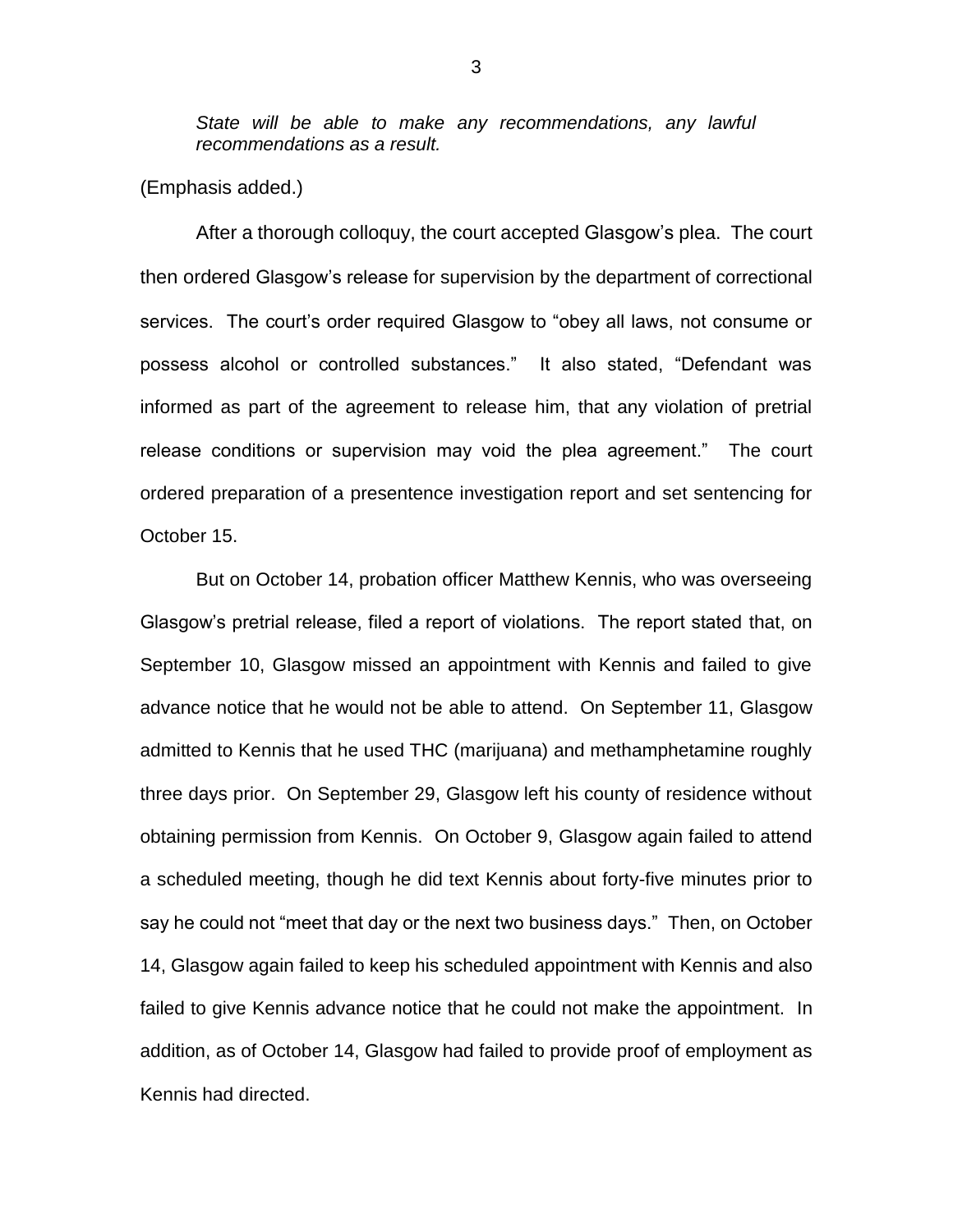*State will be able to make any recommendations, any lawful recommendations as a result.* 

(Emphasis added.)

After a thorough colloquy, the court accepted Glasgow's plea. The court then ordered Glasgow's release for supervision by the department of correctional services. The court's order required Glasgow to "obey all laws, not consume or possess alcohol or controlled substances." It also stated, "Defendant was informed as part of the agreement to release him, that any violation of pretrial release conditions or supervision may void the plea agreement." The court ordered preparation of a presentence investigation report and set sentencing for October 15.

But on October 14, probation officer Matthew Kennis, who was overseeing Glasgow's pretrial release, filed a report of violations. The report stated that, on September 10, Glasgow missed an appointment with Kennis and failed to give advance notice that he would not be able to attend. On September 11, Glasgow admitted to Kennis that he used THC (marijuana) and methamphetamine roughly three days prior. On September 29, Glasgow left his county of residence without obtaining permission from Kennis. On October 9, Glasgow again failed to attend a scheduled meeting, though he did text Kennis about forty-five minutes prior to say he could not "meet that day or the next two business days." Then, on October 14, Glasgow again failed to keep his scheduled appointment with Kennis and also failed to give Kennis advance notice that he could not make the appointment. In addition, as of October 14, Glasgow had failed to provide proof of employment as Kennis had directed.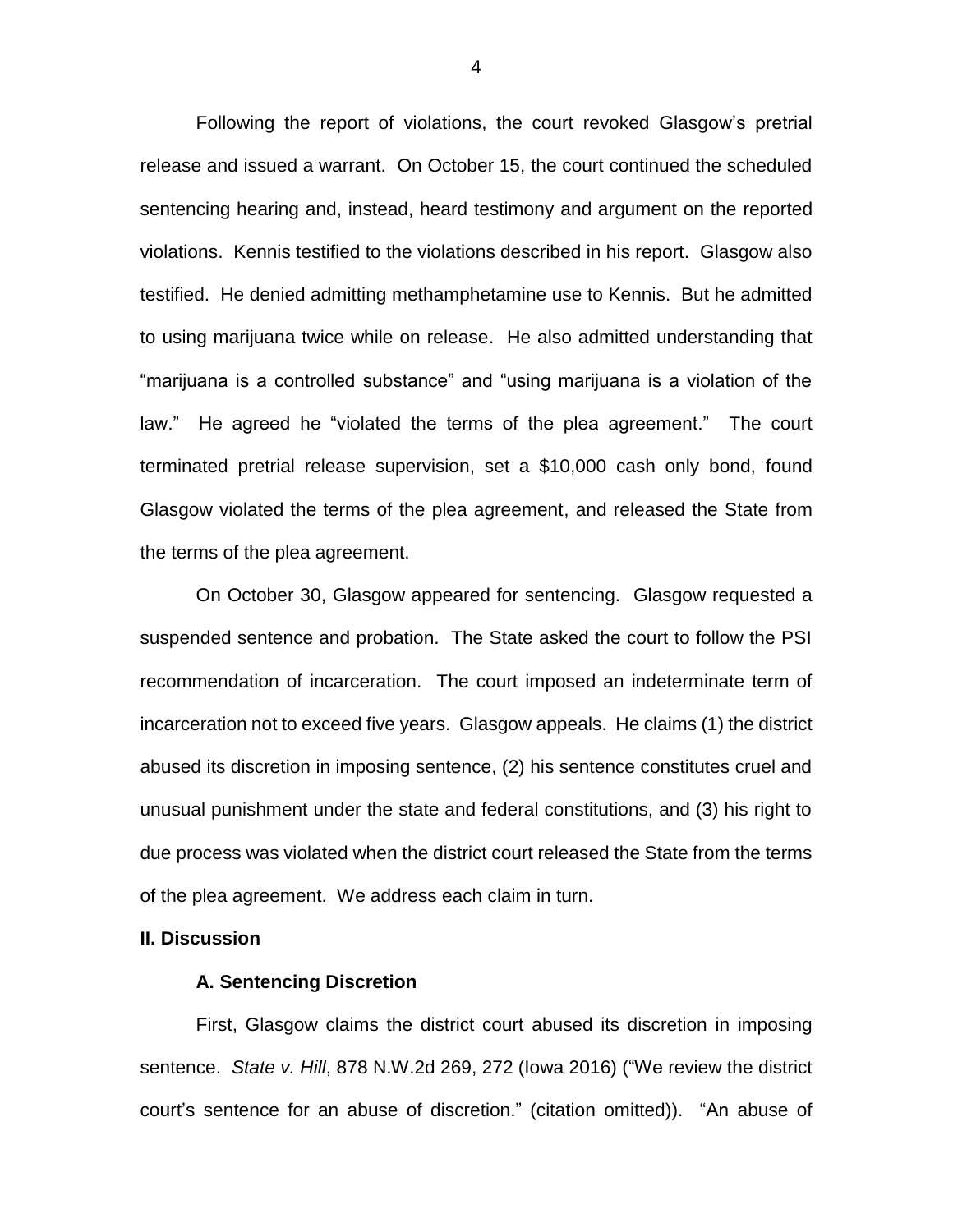Following the report of violations, the court revoked Glasgow's pretrial release and issued a warrant. On October 15, the court continued the scheduled sentencing hearing and, instead, heard testimony and argument on the reported violations. Kennis testified to the violations described in his report. Glasgow also testified. He denied admitting methamphetamine use to Kennis. But he admitted to using marijuana twice while on release. He also admitted understanding that "marijuana is a controlled substance" and "using marijuana is a violation of the law." He agreed he "violated the terms of the plea agreement." The court terminated pretrial release supervision, set a \$10,000 cash only bond, found Glasgow violated the terms of the plea agreement, and released the State from the terms of the plea agreement.

On October 30, Glasgow appeared for sentencing. Glasgow requested a suspended sentence and probation. The State asked the court to follow the PSI recommendation of incarceration. The court imposed an indeterminate term of incarceration not to exceed five years. Glasgow appeals. He claims (1) the district abused its discretion in imposing sentence, (2) his sentence constitutes cruel and unusual punishment under the state and federal constitutions, and (3) his right to due process was violated when the district court released the State from the terms of the plea agreement. We address each claim in turn.

## **II. Discussion**

#### **A. Sentencing Discretion**

First, Glasgow claims the district court abused its discretion in imposing sentence. *State v. Hill*, 878 N.W.2d 269, 272 (Iowa 2016) ("We review the district court's sentence for an abuse of discretion." (citation omitted)). "An abuse of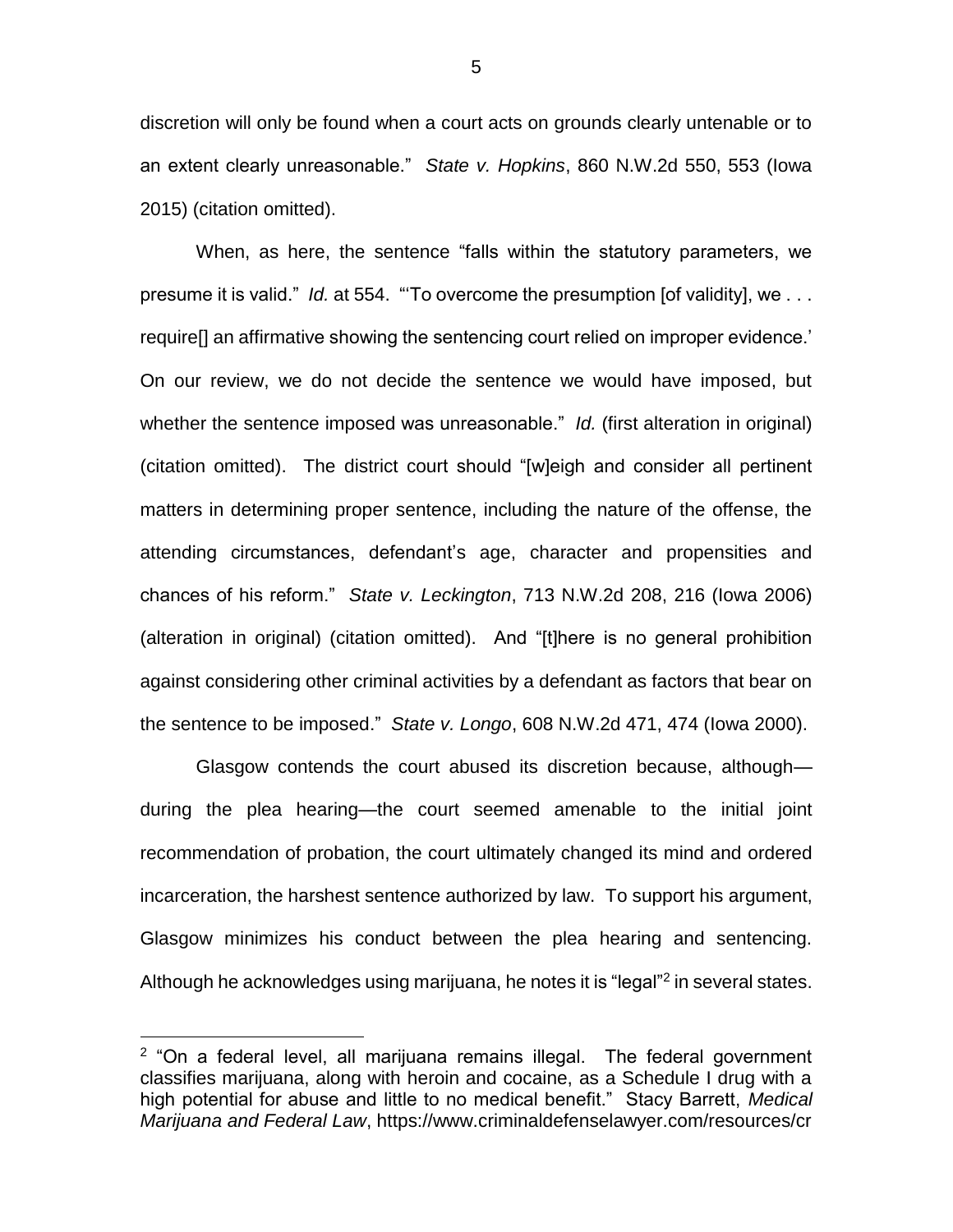discretion will only be found when a court acts on grounds clearly untenable or to an extent clearly unreasonable." *State v. Hopkins*, 860 N.W.2d 550, 553 (Iowa 2015) (citation omitted).

When, as here, the sentence "falls within the statutory parameters, we presume it is valid." *Id.* at 554. "'To overcome the presumption [of validity], we . . . require[] an affirmative showing the sentencing court relied on improper evidence.' On our review, we do not decide the sentence we would have imposed, but whether the sentence imposed was unreasonable." *Id.* (first alteration in original) (citation omitted). The district court should "[w]eigh and consider all pertinent matters in determining proper sentence, including the nature of the offense, the attending circumstances, defendant's age, character and propensities and chances of his reform." *State v. Leckington*, 713 N.W.2d 208, 216 (Iowa 2006) (alteration in original) (citation omitted). And "[t]here is no general prohibition against considering other criminal activities by a defendant as factors that bear on the sentence to be imposed." *State v. Longo*, 608 N.W.2d 471, 474 (Iowa 2000).

Glasgow contends the court abused its discretion because, although during the plea hearing—the court seemed amenable to the initial joint recommendation of probation, the court ultimately changed its mind and ordered incarceration, the harshest sentence authorized by law. To support his argument, Glasgow minimizes his conduct between the plea hearing and sentencing. Although he acknowledges using marijuana, he notes it is "legal"<sup>2</sup> in several states.

 $\overline{a}$ 

5

<sup>&</sup>lt;sup>2</sup> "On a federal level, all marijuana remains illegal. The federal government classifies marijuana, along with heroin and cocaine, as a Schedule I drug with a high potential for abuse and little to no medical benefit." Stacy Barrett, *Medical Marijuana and Federal Law*, https://www.criminaldefenselawyer.com/resources/cr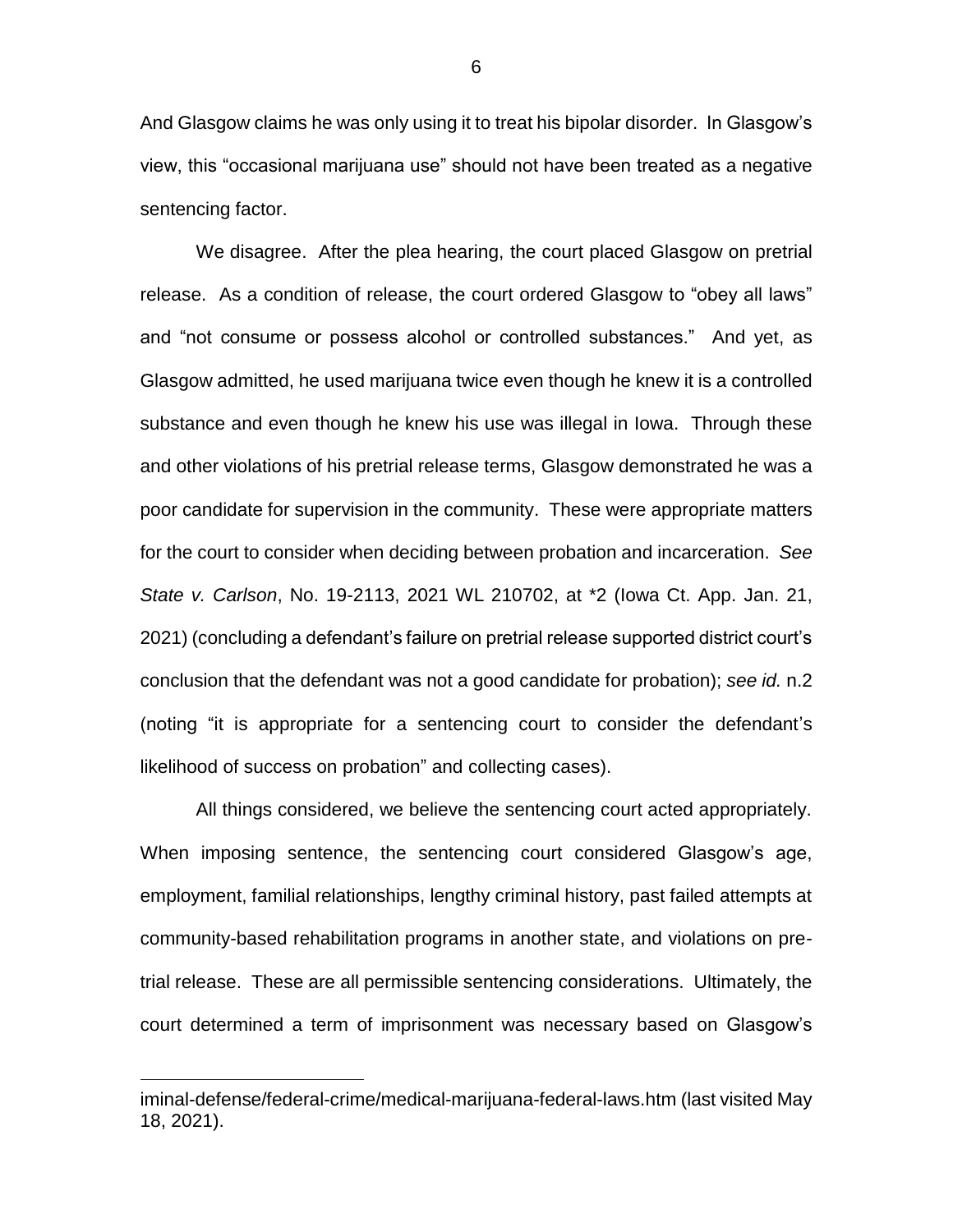And Glasgow claims he was only using it to treat his bipolar disorder. In Glasgow's view, this "occasional marijuana use" should not have been treated as a negative sentencing factor.

We disagree. After the plea hearing, the court placed Glasgow on pretrial release. As a condition of release, the court ordered Glasgow to "obey all laws" and "not consume or possess alcohol or controlled substances." And yet, as Glasgow admitted, he used marijuana twice even though he knew it is a controlled substance and even though he knew his use was illegal in Iowa. Through these and other violations of his pretrial release terms, Glasgow demonstrated he was a poor candidate for supervision in the community. These were appropriate matters for the court to consider when deciding between probation and incarceration. *See State v. Carlson*, No. 19-2113, 2021 WL 210702, at \*2 (Iowa Ct. App. Jan. 21, 2021) (concluding a defendant's failure on pretrial release supported district court's conclusion that the defendant was not a good candidate for probation); *see id.* n.2 (noting "it is appropriate for a sentencing court to consider the defendant's likelihood of success on probation" and collecting cases).

All things considered, we believe the sentencing court acted appropriately. When imposing sentence, the sentencing court considered Glasgow's age, employment, familial relationships, lengthy criminal history, past failed attempts at community-based rehabilitation programs in another state, and violations on pretrial release. These are all permissible sentencing considerations. Ultimately, the court determined a term of imprisonment was necessary based on Glasgow's

 $\overline{a}$ 

6

iminal-defense/federal-crime/medical-marijuana-federal-laws.htm (last visited May 18, 2021).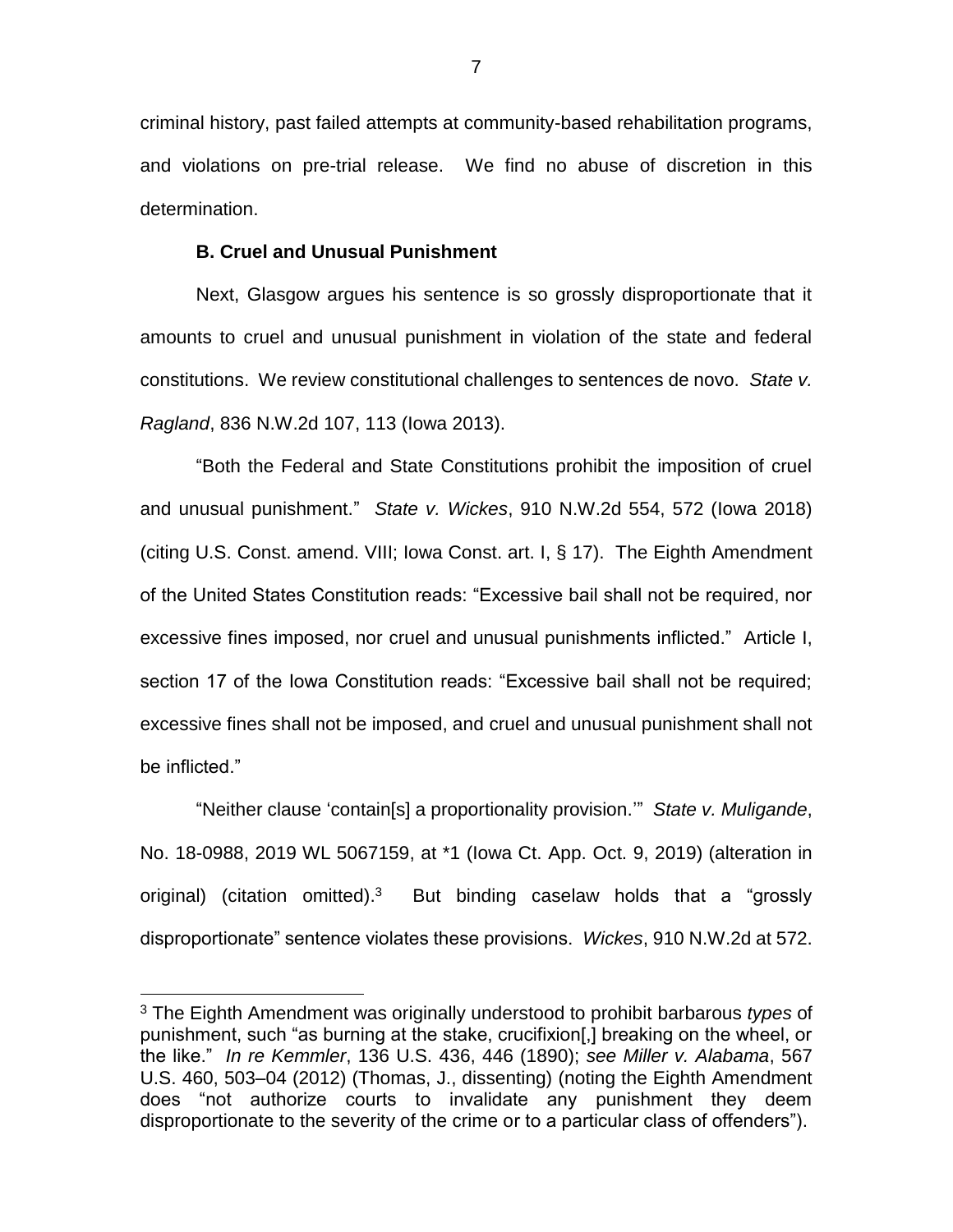criminal history, past failed attempts at community-based rehabilitation programs, and violations on pre-trial release. We find no abuse of discretion in this determination.

## **B. Cruel and Unusual Punishment**

Next, Glasgow argues his sentence is so grossly disproportionate that it amounts to cruel and unusual punishment in violation of the state and federal constitutions. We review constitutional challenges to sentences de novo. *State v. Ragland*, 836 N.W.2d 107, 113 (Iowa 2013).

"Both the Federal and State Constitutions prohibit the imposition of cruel and unusual punishment." *State v. Wickes*, 910 N.W.2d 554, 572 (Iowa 2018) (citing U.S. Const. amend. VIII; Iowa Const. art. I, § 17). The Eighth Amendment of the United States Constitution reads: "Excessive bail shall not be required, nor excessive fines imposed, nor cruel and unusual punishments inflicted." Article I, section 17 of the Iowa Constitution reads: "Excessive bail shall not be required; excessive fines shall not be imposed, and cruel and unusual punishment shall not be inflicted."

"Neither clause 'contain[s] a proportionality provision.'" *State v. Muligande*, No. 18-0988, 2019 WL 5067159, at \*1 (Iowa Ct. App. Oct. 9, 2019) (alteration in original) (citation omitted).<sup>3</sup> But binding caselaw holds that a "grossly disproportionate" sentence violates these provisions. *Wickes*, 910 N.W.2d at 572.

 $\overline{a}$ 

<sup>3</sup> The Eighth Amendment was originally understood to prohibit barbarous *types* of punishment, such "as burning at the stake, crucifixion[,] breaking on the wheel, or the like." *In re Kemmler*, 136 U.S. 436, 446 (1890); *see Miller v. Alabama*, 567 U.S. 460, 503–04 (2012) (Thomas, J., dissenting) (noting the Eighth Amendment does "not authorize courts to invalidate any punishment they deem disproportionate to the severity of the crime or to a particular class of offenders").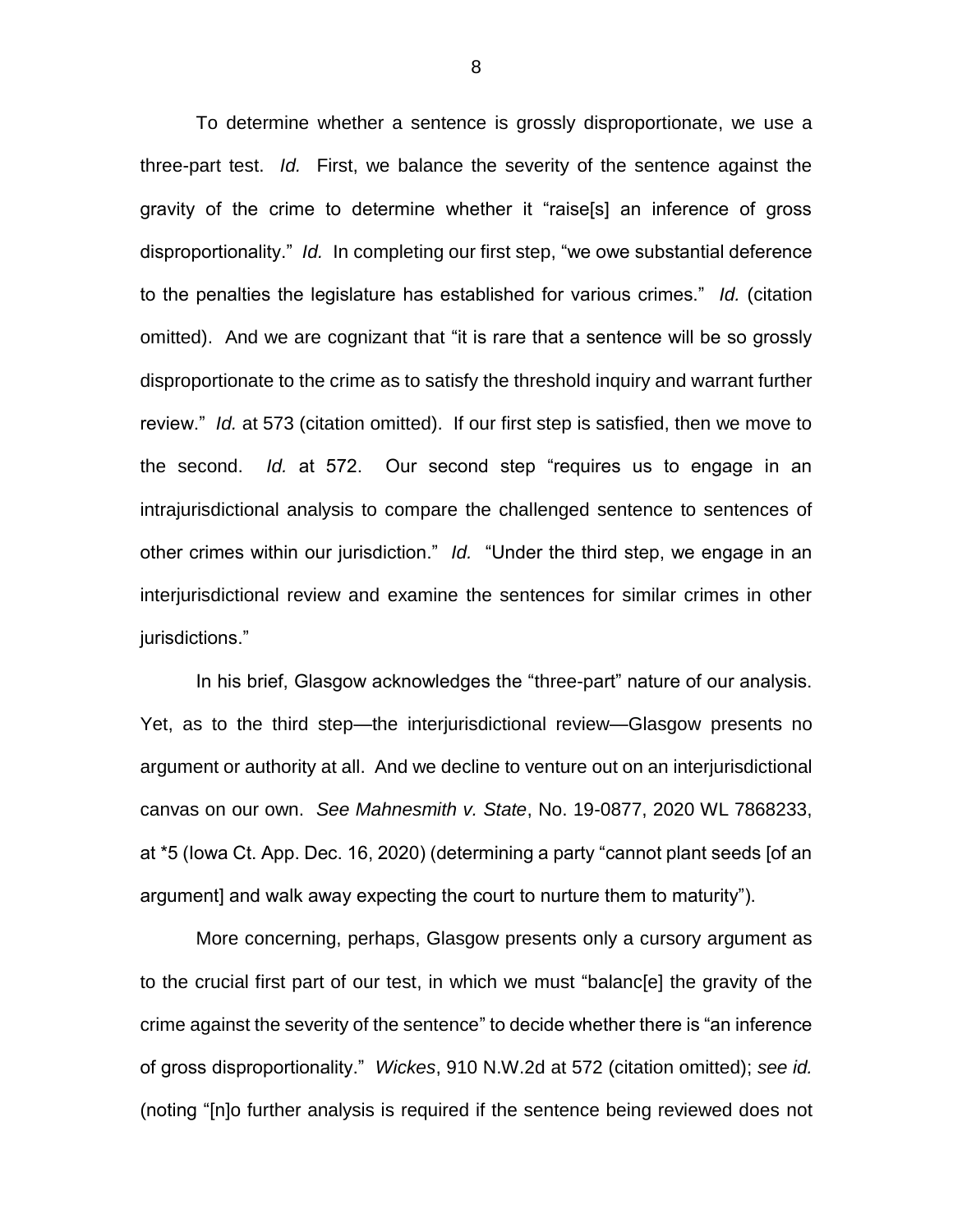To determine whether a sentence is grossly disproportionate, we use a three-part test. *Id.* First, we balance the severity of the sentence against the gravity of the crime to determine whether it "raise[s] an inference of gross disproportionality." *Id.* In completing our first step, "we owe substantial deference to the penalties the legislature has established for various crimes." *Id.* (citation omitted). And we are cognizant that "it is rare that a sentence will be so grossly disproportionate to the crime as to satisfy the threshold inquiry and warrant further review." *Id.* at 573 (citation omitted). If our first step is satisfied, then we move to the second. *Id.* at 572. Our second step "requires us to engage in an intrajurisdictional analysis to compare the challenged sentence to sentences of other crimes within our jurisdiction." *Id.* "Under the third step, we engage in an interjurisdictional review and examine the sentences for similar crimes in other jurisdictions."

In his brief, Glasgow acknowledges the "three-part" nature of our analysis. Yet, as to the third step—the interjurisdictional review—Glasgow presents no argument or authority at all. And we decline to venture out on an interjurisdictional canvas on our own. *See Mahnesmith v. State*, No. 19-0877, 2020 WL 7868233, at \*5 (Iowa Ct. App. Dec. 16, 2020) (determining a party "cannot plant seeds [of an argument] and walk away expecting the court to nurture them to maturity").

More concerning, perhaps, Glasgow presents only a cursory argument as to the crucial first part of our test, in which we must "balanc[e] the gravity of the crime against the severity of the sentence" to decide whether there is "an inference of gross disproportionality." *Wickes*, 910 N.W.2d at 572 (citation omitted); *see id.* (noting "[n]o further analysis is required if the sentence being reviewed does not